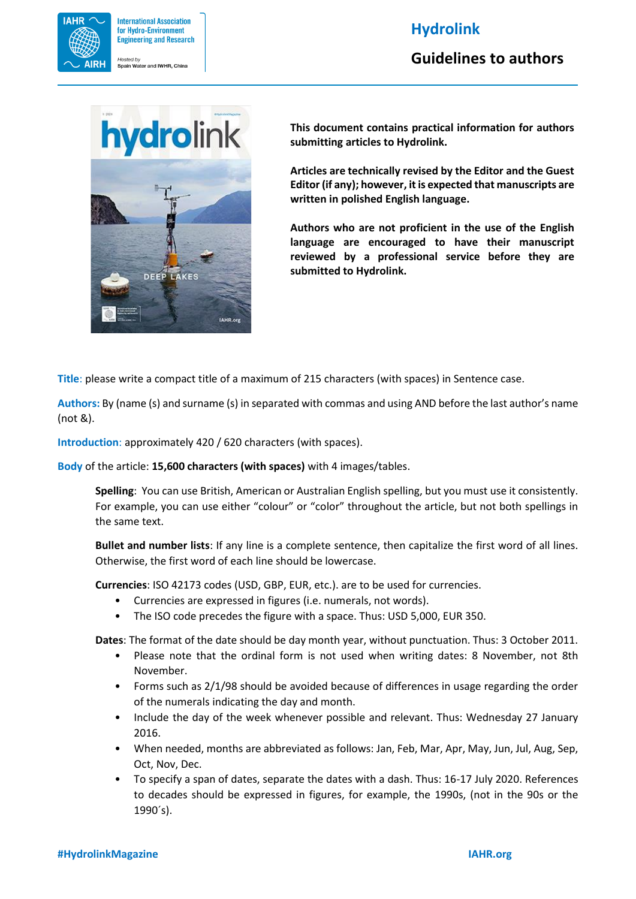## **Hydrolink**



**Guidelines to authors**



**This document contains practical information for authors submitting articles to Hydrolink.**

**Articles are technically revised by the Editor and the Guest Editor (if any); however, it is expected that manuscripts are written in polished English language.**

**Authors who are not proficient in the use of the English language are encouraged to have their manuscript reviewed by a professional service before they are submitted to Hydrolink.**

**Title**: please write a compact title of a maximum of 215 characters (with spaces) in Sentence case.

**Authors:** By (name (s) and surname (s) in separated with commas and using AND before the last author's name (not &).

**Introduction**: approximately 420 / 620 characters (with spaces).

**Body** of the article: **15,600 characters (with spaces)** with 4 images/tables.

**Spelling**: You can use British, American or Australian English spelling, but you must use it consistently. For example, you can use either "colour" or "color" throughout the article, but not both spellings in the same text.

**Bullet and number lists**: If any line is a complete sentence, then capitalize the first word of all lines. Otherwise, the first word of each line should be lowercase.

**Currencies**: ISO 42173 codes (USD, GBP, EUR, etc.). are to be used for currencies.

- Currencies are expressed in figures (i.e. numerals, not words).
- The ISO code precedes the figure with a space. Thus: USD 5,000, EUR 350.

**Dates**: The format of the date should be day month year, without punctuation. Thus: 3 October 2011.

- Please note that the ordinal form is not used when writing dates: 8 November, not 8th November.
- Forms such as 2/1/98 should be avoided because of differences in usage regarding the order of the numerals indicating the day and month.
- Include the day of the week whenever possible and relevant. Thus: Wednesday 27 January 2016.
- When needed, months are abbreviated as follows: Jan, Feb, Mar, Apr, May, Jun, Jul, Aug, Sep, Oct, Nov, Dec.
- To specify a span of dates, separate the dates with a dash. Thus: 16-17 July 2020. References to decades should be expressed in figures, for example, the 1990s, (not in the 90s or the 1990´s).